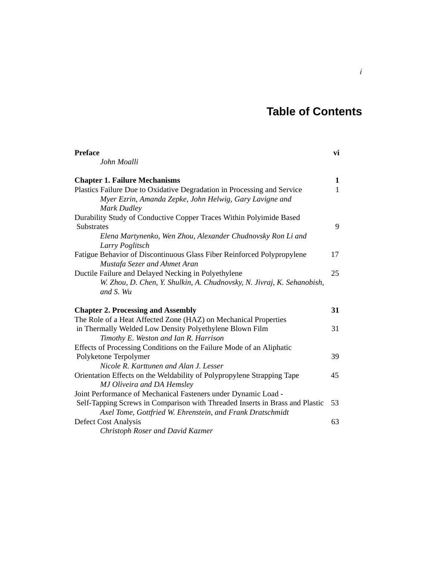## **Table of Contents**

| <b>Preface</b>                                                               | vi           |
|------------------------------------------------------------------------------|--------------|
| John Moalli                                                                  |              |
| <b>Chapter 1. Failure Mechanisms</b>                                         | $\mathbf{1}$ |
| Plastics Failure Due to Oxidative Degradation in Processing and Service      | $\mathbf{1}$ |
| Myer Ezrin, Amanda Zepke, John Helwig, Gary Lavigne and                      |              |
| Mark Dudley                                                                  |              |
| Durability Study of Conductive Copper Traces Within Polyimide Based          |              |
| <b>Substrates</b>                                                            | 9            |
| Elena Martynenko, Wen Zhou, Alexander Chudnovsky Ron Li and                  |              |
| Larry Poglitsch                                                              |              |
| Fatigue Behavior of Discontinuous Glass Fiber Reinforced Polypropylene       | 17           |
| Mustafa Sezer and Ahmet Aran                                                 |              |
| Ductile Failure and Delayed Necking in Polyethylene                          | 25           |
| W. Zhou, D. Chen, Y. Shulkin, A. Chudnovsky, N. Jivraj, K. Sehanobish,       |              |
| and S. Wu                                                                    |              |
| <b>Chapter 2. Processing and Assembly</b>                                    | 31           |
| The Role of a Heat Affected Zone (HAZ) on Mechanical Properties              |              |
| in Thermally Welded Low Density Polyethylene Blown Film                      | 31           |
| Timothy E. Weston and Ian R. Harrison                                        |              |
| Effects of Processing Conditions on the Failure Mode of an Aliphatic         |              |
| Polyketone Terpolymer                                                        | 39           |
| Nicole R. Karttunen and Alan J. Lesser                                       |              |
| Orientation Effects on the Weldability of Polypropylene Strapping Tape       | 45           |
| MJ Oliveira and DA Hemsley                                                   |              |
| Joint Performance of Mechanical Fasteners under Dynamic Load -               |              |
| Self-Tapping Screws in Comparison with Threaded Inserts in Brass and Plastic | 53           |
| Axel Tome, Gottfried W. Ehrenstein, and Frank Dratschmidt                    |              |
| Defect Cost Analysis                                                         | 63           |
| Christoph Roser and David Kazmer                                             |              |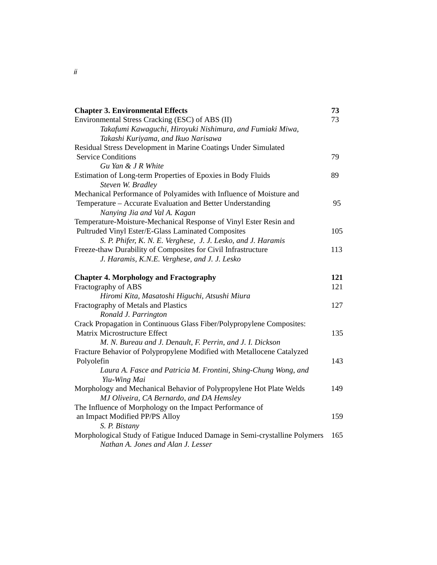| <b>Chapter 3. Environmental Effects</b>                                    | 73  |
|----------------------------------------------------------------------------|-----|
| Environmental Stress Cracking (ESC) of ABS (II)                            | 73  |
| Takafumi Kawaguchi, Hiroyuki Nishimura, and Fumiaki Miwa,                  |     |
| Takashi Kuriyama, and Ikuo Narisawa                                        |     |
| Residual Stress Development in Marine Coatings Under Simulated             |     |
| <b>Service Conditions</b>                                                  | 79  |
| Gu Yan & J R White                                                         |     |
| Estimation of Long-term Properties of Epoxies in Body Fluids               | 89  |
| Steven W. Bradley                                                          |     |
| Mechanical Performance of Polyamides with Influence of Moisture and        |     |
| Temperature – Accurate Evaluation and Better Understanding                 | 95  |
| Nanying Jia and Val A. Kagan                                               |     |
| Temperature-Moisture-Mechanical Response of Vinyl Ester Resin and          |     |
| Pultruded Vinyl Ester/E-Glass Laminated Composites                         | 105 |
| S. P. Phifer, K. N. E. Verghese, J. J. Lesko, and J. Haramis               |     |
| Freeze-thaw Durability of Composites for Civil Infrastructure              | 113 |
| J. Haramis, K.N.E. Verghese, and J. J. Lesko                               |     |
| <b>Chapter 4. Morphology and Fractography</b>                              | 121 |
| Fractography of ABS                                                        | 121 |
| Hiromi Kita, Masatoshi Higuchi, Atsushi Miura                              |     |
| Fractography of Metals and Plastics                                        | 127 |
| Ronald J. Parrington                                                       |     |
| Crack Propagation in Continuous Glass Fiber/Polypropylene Composites:      |     |
| Matrix Microstructure Effect                                               | 135 |
| M. N. Bureau and J. Denault, F. Perrin, and J. I. Dickson                  |     |
| Fracture Behavior of Polypropylene Modified with Metallocene Catalyzed     |     |
| Polyolefin                                                                 | 143 |
| Laura A. Fasce and Patricia M. Frontini, Shing-Chung Wong, and             |     |
| Yiu-Wing Mai                                                               |     |
| Morphology and Mechanical Behavior of Polypropylene Hot Plate Welds        | 149 |
| MJ Oliveira, CA Bernardo, and DA Hemsley                                   |     |
| The Influence of Morphology on the Impact Performance of                   |     |
| an Impact Modified PP/PS Alloy                                             | 159 |
| S. P. Bistany                                                              |     |
| Morphological Study of Fatigue Induced Damage in Semi-crystalline Polymers | 165 |
| Nathan A. Jones and Alan J. Lesser                                         |     |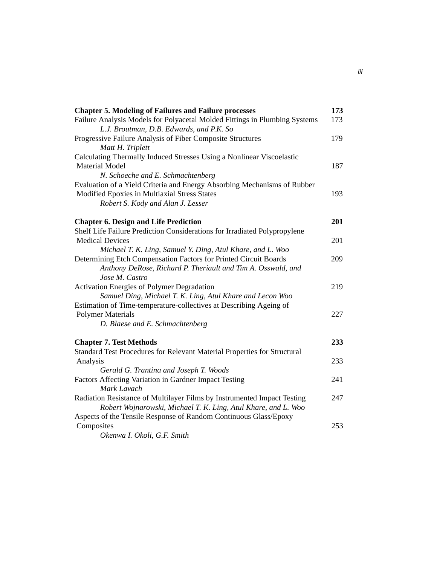| <b>Chapter 5. Modeling of Failures and Failure processes</b>               | 173 |
|----------------------------------------------------------------------------|-----|
| Failure Analysis Models for Polyacetal Molded Fittings in Plumbing Systems | 173 |
| L.J. Broutman, D.B. Edwards, and P.K. So                                   |     |
| Progressive Failure Analysis of Fiber Composite Structures                 | 179 |
| Matt H. Triplett                                                           |     |
| Calculating Thermally Induced Stresses Using a Nonlinear Viscoelastic      |     |
| <b>Material Model</b>                                                      | 187 |
| N. Schoeche and E. Schmachtenberg                                          |     |
| Evaluation of a Yield Criteria and Energy Absorbing Mechanisms of Rubber   |     |
| Modified Epoxies in Multiaxial Stress States                               | 193 |
| Robert S. Kody and Alan J. Lesser                                          |     |
| <b>Chapter 6. Design and Life Prediction</b>                               | 201 |
| Shelf Life Failure Prediction Considerations for Irradiated Polypropylene  |     |
| <b>Medical Devices</b>                                                     | 201 |
| Michael T. K. Ling, Samuel Y. Ding, Atul Khare, and L. Woo                 |     |
| Determining Etch Compensation Factors for Printed Circuit Boards           | 209 |
| Anthony DeRose, Richard P. Theriault and Tim A. Osswald, and               |     |
| Jose M. Castro                                                             |     |
| <b>Activation Energies of Polymer Degradation</b>                          | 219 |
| Samuel Ding, Michael T. K. Ling, Atul Khare and Lecon Woo                  |     |
| Estimation of Time-temperature-collectives at Describing Ageing of         |     |
| <b>Polymer Materials</b>                                                   | 227 |
| D. Blaese and E. Schmachtenberg                                            |     |
| <b>Chapter 7. Test Methods</b>                                             | 233 |
| Standard Test Procedures for Relevant Material Properties for Structural   |     |
| Analysis                                                                   | 233 |
| Gerald G. Trantina and Joseph T. Woods                                     |     |
| Factors Affecting Variation in Gardner Impact Testing                      | 241 |
| Mark Lavach                                                                |     |
| Radiation Resistance of Multilayer Films by Instrumented Impact Testing    | 247 |
| Robert Wojnarowski, Michael T. K. Ling, Atul Khare, and L. Woo             |     |
| Aspects of the Tensile Response of Random Continuous Glass/Epoxy           |     |
| Composites                                                                 | 253 |
| Okenwa I. Okoli, G.F. Smith                                                |     |